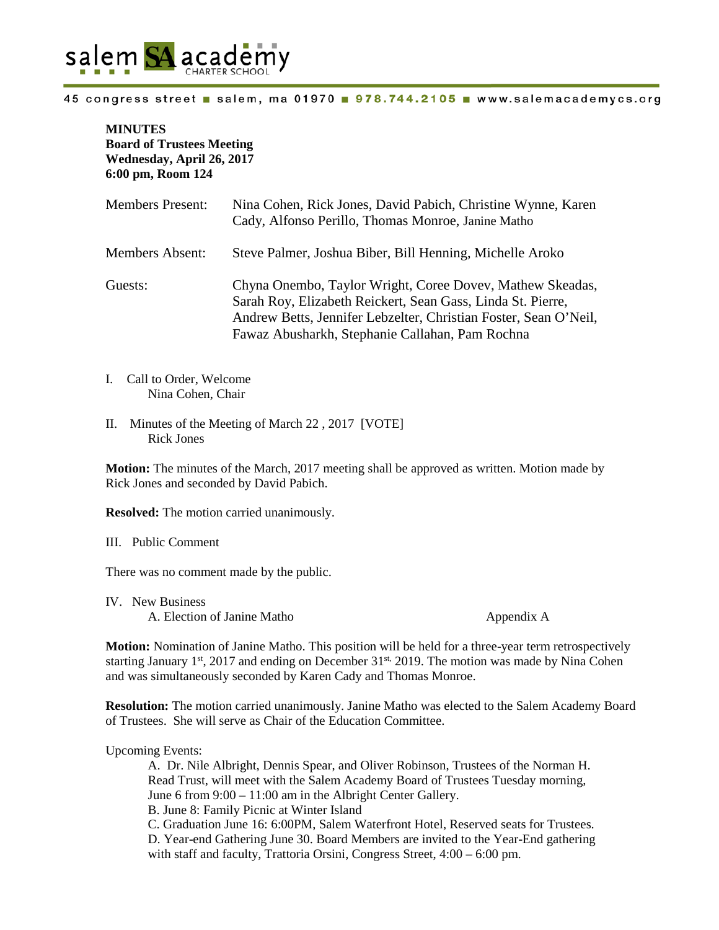

## 45 congress street salem, ma 01970 978.744.2105 www.salemacademycs.org

## **MINUTES Board of Trustees Meeting Wednesday, April 26, 2017 6:00 pm, Room 124**

| <b>Members Present:</b> | Nina Cohen, Rick Jones, David Pabich, Christine Wynne, Karen<br>Cady, Alfonso Perillo, Thomas Monroe, Janine Matho                                                                                                                              |
|-------------------------|-------------------------------------------------------------------------------------------------------------------------------------------------------------------------------------------------------------------------------------------------|
| Members Absent:         | Steve Palmer, Joshua Biber, Bill Henning, Michelle Aroko                                                                                                                                                                                        |
| Guests:                 | Chyna Onembo, Taylor Wright, Coree Dovey, Mathew Skeadas,<br>Sarah Roy, Elizabeth Reickert, Sean Gass, Linda St. Pierre,<br>Andrew Betts, Jennifer Lebzelter, Christian Foster, Sean O'Neil,<br>Fawaz Abusharkh, Stephanie Callahan, Pam Rochna |

- I. Call to Order, Welcome Nina Cohen, Chair
- II. Minutes of the Meeting of March 22 , 2017 [VOTE] Rick Jones

**Motion:** The minutes of the March, 2017 meeting shall be approved as written. Motion made by Rick Jones and seconded by David Pabich.

**Resolved:** The motion carried unanimously.

III. Public Comment

There was no comment made by the public.

IV. New Business A. Election of Janine Matho Appendix A

**Motion:** Nomination of Janine Matho. This position will be held for a three-year term retrospectively starting January 1<sup>st</sup>, 2017 and ending on December  $31<sup>st</sup>$ , 2019. The motion was made by Nina Cohen and was simultaneously seconded by Karen Cady and Thomas Monroe.

**Resolution:** The motion carried unanimously. Janine Matho was elected to the Salem Academy Board of Trustees. She will serve as Chair of the Education Committee.

Upcoming Events:

A. Dr. Nile Albright, Dennis Spear, and Oliver Robinson, Trustees of the Norman H. Read Trust, will meet with the Salem Academy Board of Trustees Tuesday morning, June 6 from 9:00 – 11:00 am in the Albright Center Gallery. B. June 8: Family Picnic at Winter Island C. Graduation June 16: 6:00PM, Salem Waterfront Hotel, Reserved seats for Trustees. D. Year-end Gathering June 30. Board Members are invited to the Year-End gathering with staff and faculty, Trattoria Orsini, Congress Street,  $4:00 - 6:00$  pm.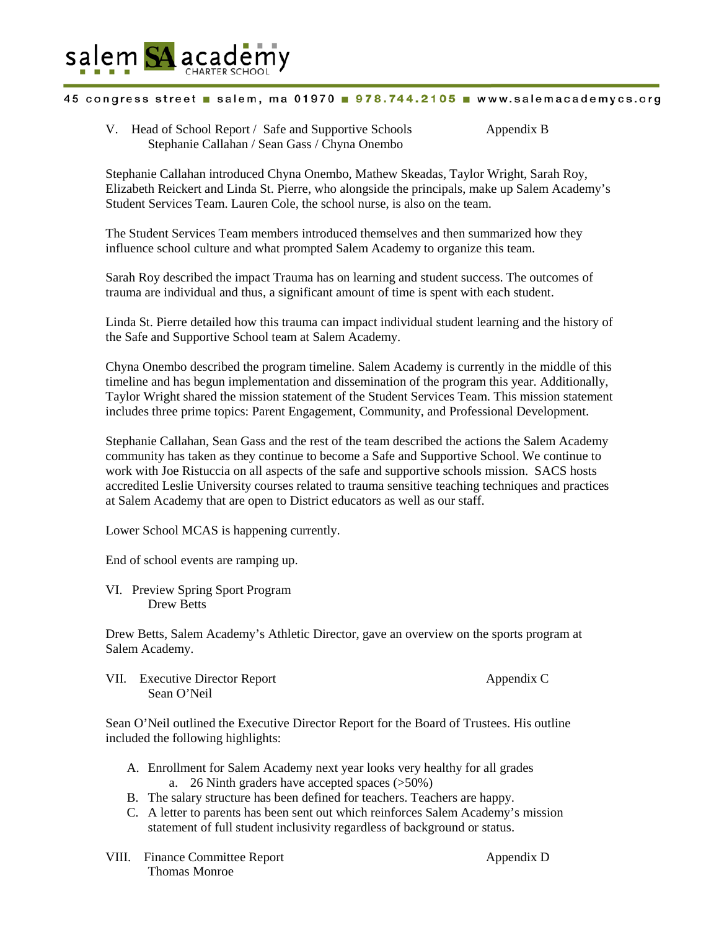

## 45 congress street salem, ma 01970 978.744.2105 www.salemacademycs.org

V. Head of School Report / Safe and Supportive Schools Appendix B Stephanie Callahan / Sean Gass / Chyna Onembo

Stephanie Callahan introduced Chyna Onembo, Mathew Skeadas, Taylor Wright, Sarah Roy, Elizabeth Reickert and Linda St. Pierre, who alongside the principals, make up Salem Academy's Student Services Team. Lauren Cole, the school nurse, is also on the team.

The Student Services Team members introduced themselves and then summarized how they influence school culture and what prompted Salem Academy to organize this team.

Sarah Roy described the impact Trauma has on learning and student success. The outcomes of trauma are individual and thus, a significant amount of time is spent with each student.

Linda St. Pierre detailed how this trauma can impact individual student learning and the history of the Safe and Supportive School team at Salem Academy.

Chyna Onembo described the program timeline. Salem Academy is currently in the middle of this timeline and has begun implementation and dissemination of the program this year. Additionally, Taylor Wright shared the mission statement of the Student Services Team. This mission statement includes three prime topics: Parent Engagement, Community, and Professional Development.

Stephanie Callahan, Sean Gass and the rest of the team described the actions the Salem Academy community has taken as they continue to become a Safe and Supportive School. We continue to work with Joe Ristuccia on all aspects of the safe and supportive schools mission. SACS hosts accredited Leslie University courses related to trauma sensitive teaching techniques and practices at Salem Academy that are open to District educators as well as our staff.

Lower School MCAS is happening currently.

End of school events are ramping up.

VI. Preview Spring Sport Program Drew Betts

Drew Betts, Salem Academy's Athletic Director, gave an overview on the sports program at Salem Academy.

VII. Executive Director Report Appendix C Sean O'Neil

Sean O'Neil outlined the Executive Director Report for the Board of Trustees. His outline included the following highlights:

- A. Enrollment for Salem Academy next year looks very healthy for all grades a. 26 Ninth graders have accepted spaces (>50%)
- B. The salary structure has been defined for teachers. Teachers are happy.
- C. A letter to parents has been sent out which reinforces Salem Academy's mission statement of full student inclusivity regardless of background or status.
- VIII. Finance Committee Report Appendix D Thomas Monroe